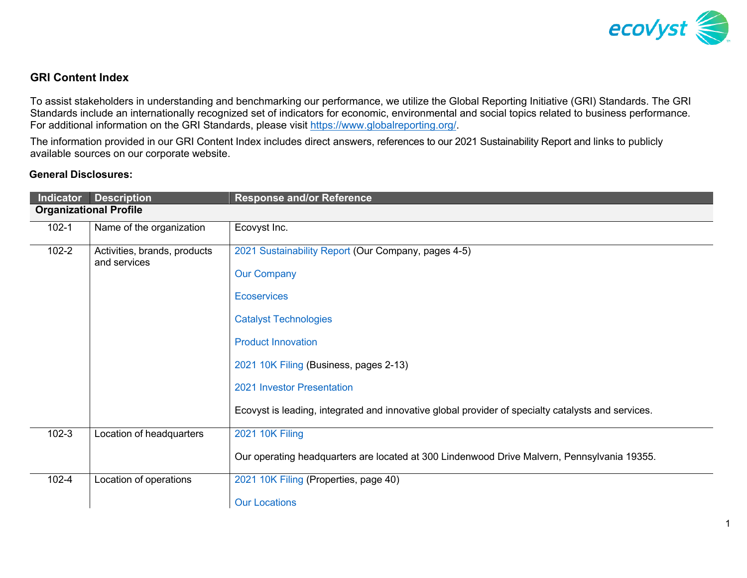

### **GRI Content Index**

To assist stakeholders in understanding and benchmarking our performance, we utilize the Global Reporting Initiative (GRI) Standards. The GRI Standards include an internationally recognized set of indicators for economic, environmental and social topics related to business performance. For additional information on the GRI Standards, please visit [https://www.globalreporting.org/.](https://www.globalreporting.org/) 

The information provided in our GRI Content Index includes direct answers, references to our 2021 Sustainability Report and links to publicly available sources on our corporate website.

### **General Disclosures:**

|                                                                                                                  | Indicator Description         | <b>Response and/or Reference</b>                                                                   |
|------------------------------------------------------------------------------------------------------------------|-------------------------------|----------------------------------------------------------------------------------------------------|
|                                                                                                                  | <b>Organizational Profile</b> |                                                                                                    |
| $102 - 1$                                                                                                        | Name of the organization      | Ecovyst Inc.                                                                                       |
| $102 - 2$<br>2021 Sustainability Report (Our Company, pages 4-5)<br>Activities, brands, products<br>and services |                               |                                                                                                    |
|                                                                                                                  |                               | <b>Our Company</b>                                                                                 |
|                                                                                                                  |                               | <b>Ecoservices</b>                                                                                 |
|                                                                                                                  |                               | <b>Catalyst Technologies</b>                                                                       |
|                                                                                                                  |                               | <b>Product Innovation</b>                                                                          |
|                                                                                                                  |                               | 2021 10K Filing (Business, pages 2-13)                                                             |
|                                                                                                                  |                               | 2021 Investor Presentation                                                                         |
|                                                                                                                  |                               | Ecovyst is leading, integrated and innovative global provider of specialty catalysts and services. |
| $102-3$                                                                                                          | Location of headquarters      | <b>2021 10K Filing</b>                                                                             |
|                                                                                                                  |                               | Our operating headquarters are located at 300 Lindenwood Drive Malvern, Pennsylvania 19355.        |
| $102 - 4$                                                                                                        | Location of operations        | 2021 10K Filing (Properties, page 40)                                                              |
|                                                                                                                  |                               | <b>Our Locations</b>                                                                               |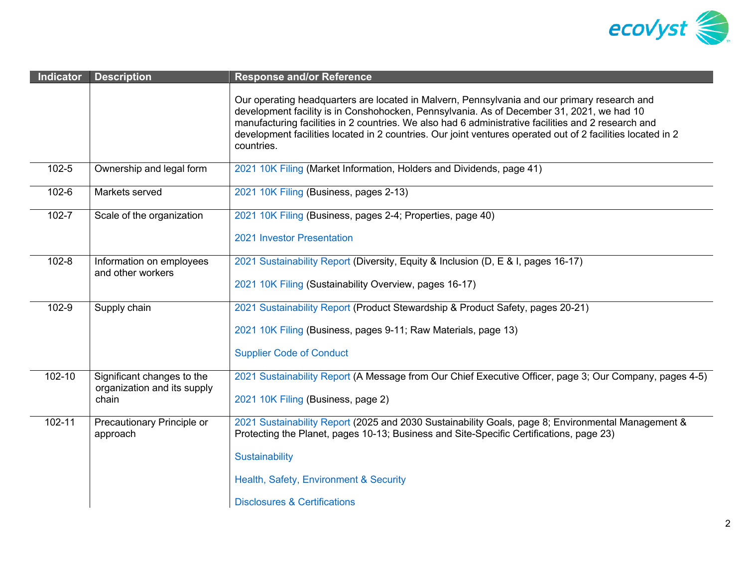

| <b>Indicator</b> | <b>Description</b>                            | <b>Response and/or Reference</b>                                                                                                                                                                                                                                                                                                                                                                                              |
|------------------|-----------------------------------------------|-------------------------------------------------------------------------------------------------------------------------------------------------------------------------------------------------------------------------------------------------------------------------------------------------------------------------------------------------------------------------------------------------------------------------------|
|                  |                                               | Our operating headquarters are located in Malvern, Pennsylvania and our primary research and<br>development facility is in Conshohocken, Pennsylvania. As of December 31, 2021, we had 10<br>manufacturing facilities in 2 countries. We also had 6 administrative facilities and 2 research and<br>development facilities located in 2 countries. Our joint ventures operated out of 2 facilities located in 2<br>countries. |
| $102 - 5$        | Ownership and legal form                      | 2021 10K Filing (Market Information, Holders and Dividends, page 41)                                                                                                                                                                                                                                                                                                                                                          |
| 102-6            | Markets served                                | 2021 10K Filing (Business, pages 2-13)                                                                                                                                                                                                                                                                                                                                                                                        |
| $102 - 7$        | Scale of the organization                     | 2021 10K Filing (Business, pages 2-4; Properties, page 40)                                                                                                                                                                                                                                                                                                                                                                    |
|                  |                                               | 2021 Investor Presentation                                                                                                                                                                                                                                                                                                                                                                                                    |
| $102 - 8$        | Information on employees<br>and other workers | 2021 Sustainability Report (Diversity, Equity & Inclusion (D, E & I, pages 16-17)<br>2021 10K Filing (Sustainability Overview, pages 16-17)                                                                                                                                                                                                                                                                                   |
| 102-9            | Supply chain                                  | 2021 Sustainability Report (Product Stewardship & Product Safety, pages 20-21)                                                                                                                                                                                                                                                                                                                                                |
|                  |                                               | 2021 10K Filing (Business, pages 9-11; Raw Materials, page 13)                                                                                                                                                                                                                                                                                                                                                                |
|                  |                                               | <b>Supplier Code of Conduct</b>                                                                                                                                                                                                                                                                                                                                                                                               |
| 102-10           | Significant changes to the                    | 2021 Sustainability Report (A Message from Our Chief Executive Officer, page 3; Our Company, pages 4-5)                                                                                                                                                                                                                                                                                                                       |
| chain            | organization and its supply                   | 2021 10K Filing (Business, page 2)                                                                                                                                                                                                                                                                                                                                                                                            |
| 102-11           | Precautionary Principle or<br>approach        | 2021 Sustainability Report (2025 and 2030 Sustainability Goals, page 8; Environmental Management &<br>Protecting the Planet, pages 10-13; Business and Site-Specific Certifications, page 23)                                                                                                                                                                                                                                 |
|                  |                                               | Sustainability                                                                                                                                                                                                                                                                                                                                                                                                                |
|                  |                                               | Health, Safety, Environment & Security                                                                                                                                                                                                                                                                                                                                                                                        |
|                  |                                               | <b>Disclosures &amp; Certifications</b>                                                                                                                                                                                                                                                                                                                                                                                       |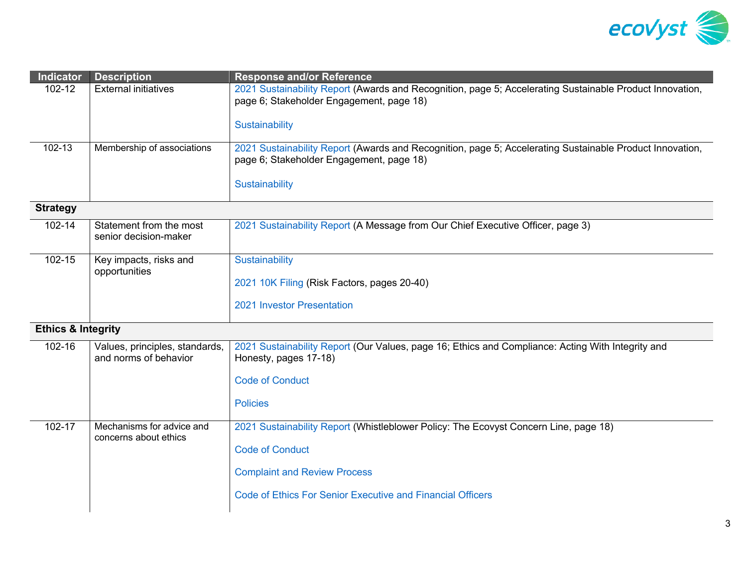

| Indicator                     | <b>Description</b>                                      | <b>Response and/or Reference</b>                                                                                                                     |
|-------------------------------|---------------------------------------------------------|------------------------------------------------------------------------------------------------------------------------------------------------------|
| 102-12                        | <b>External initiatives</b>                             | 2021 Sustainability Report (Awards and Recognition, page 5; Accelerating Sustainable Product Innovation,<br>page 6; Stakeholder Engagement, page 18) |
|                               |                                                         | <b>Sustainability</b>                                                                                                                                |
| $102 - 13$                    | Membership of associations                              | 2021 Sustainability Report (Awards and Recognition, page 5; Accelerating Sustainable Product Innovation,<br>page 6; Stakeholder Engagement, page 18) |
|                               |                                                         | <b>Sustainability</b>                                                                                                                                |
| <b>Strategy</b>               |                                                         |                                                                                                                                                      |
| 102-14                        | Statement from the most<br>senior decision-maker        | 2021 Sustainability Report (A Message from Our Chief Executive Officer, page 3)                                                                      |
| 102-15                        | Key impacts, risks and                                  | Sustainability                                                                                                                                       |
|                               | opportunities                                           | 2021 10K Filing (Risk Factors, pages 20-40)                                                                                                          |
|                               |                                                         | 2021 Investor Presentation                                                                                                                           |
| <b>Ethics &amp; Integrity</b> |                                                         |                                                                                                                                                      |
| 102-16                        | Values, principles, standards,<br>and norms of behavior | 2021 Sustainability Report (Our Values, page 16; Ethics and Compliance: Acting With Integrity and<br>Honesty, pages 17-18)                           |
|                               |                                                         | <b>Code of Conduct</b>                                                                                                                               |
|                               |                                                         | <b>Policies</b>                                                                                                                                      |
| 102-17                        | Mechanisms for advice and<br>concerns about ethics      | 2021 Sustainability Report (Whistleblower Policy: The Ecovyst Concern Line, page 18)                                                                 |
|                               |                                                         | <b>Code of Conduct</b>                                                                                                                               |
|                               |                                                         | <b>Complaint and Review Process</b>                                                                                                                  |
|                               |                                                         | <b>Code of Ethics For Senior Executive and Financial Officers</b>                                                                                    |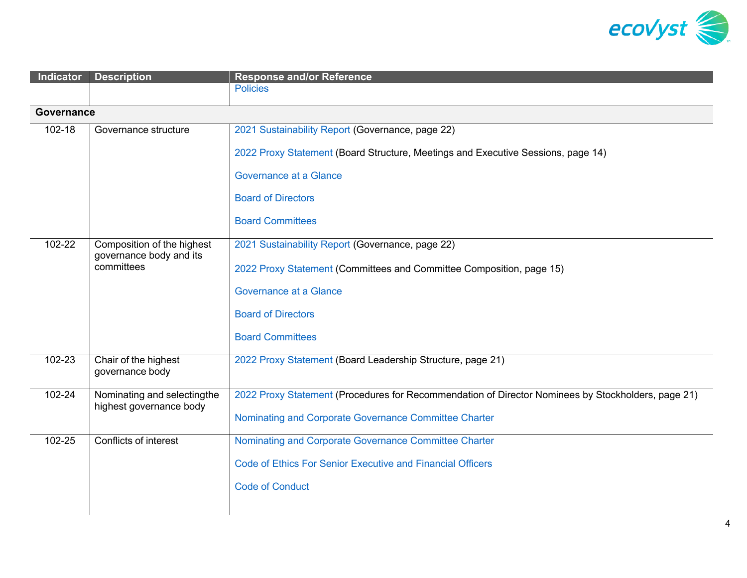

| <b>Indicator</b> | <b>Description</b>                                    | <b>Response and/or Reference</b>                                                                   |
|------------------|-------------------------------------------------------|----------------------------------------------------------------------------------------------------|
|                  |                                                       | <b>Policies</b>                                                                                    |
| Governance       |                                                       |                                                                                                    |
| 102-18           | Governance structure                                  | 2021 Sustainability Report (Governance, page 22)                                                   |
|                  |                                                       | 2022 Proxy Statement (Board Structure, Meetings and Executive Sessions, page 14)                   |
|                  |                                                       | Governance at a Glance                                                                             |
|                  |                                                       | <b>Board of Directors</b>                                                                          |
|                  |                                                       | <b>Board Committees</b>                                                                            |
| 102-22           | Composition of the highest<br>governance body and its | 2021 Sustainability Report (Governance, page 22)                                                   |
|                  | committees                                            | 2022 Proxy Statement (Committees and Committee Composition, page 15)                               |
|                  |                                                       | <b>Governance at a Glance</b>                                                                      |
|                  |                                                       | <b>Board of Directors</b>                                                                          |
|                  |                                                       | <b>Board Committees</b>                                                                            |
| 102-23           | Chair of the highest<br>governance body               | 2022 Proxy Statement (Board Leadership Structure, page 21)                                         |
| $102 - 24$       | Nominating and selectingthe                           | 2022 Proxy Statement (Procedures for Recommendation of Director Nominees by Stockholders, page 21) |
|                  | highest governance body                               | Nominating and Corporate Governance Committee Charter                                              |
| 102-25           | Conflicts of interest                                 | Nominating and Corporate Governance Committee Charter                                              |
|                  |                                                       | <b>Code of Ethics For Senior Executive and Financial Officers</b>                                  |
|                  |                                                       | <b>Code of Conduct</b>                                                                             |
|                  |                                                       |                                                                                                    |
|                  |                                                       |                                                                                                    |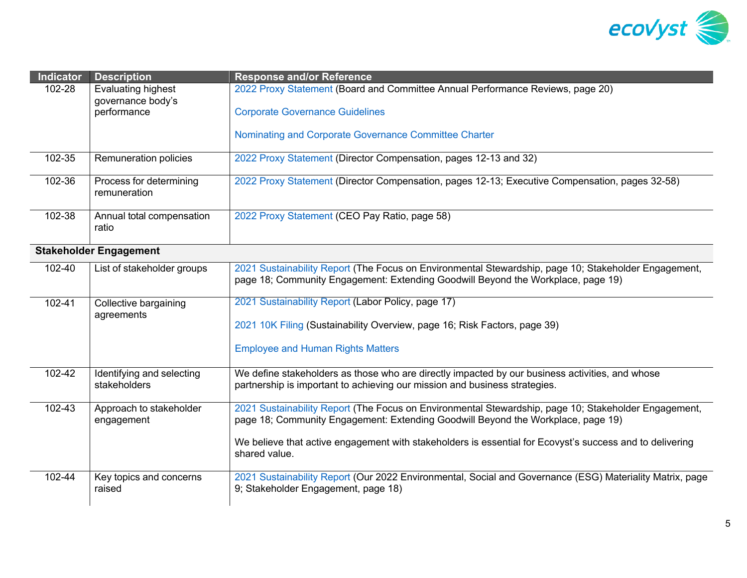

| <b>Indicator</b>                | <b>Description</b>                        | <b>Response and/or Reference</b>                                                                                                                                                         |
|---------------------------------|-------------------------------------------|------------------------------------------------------------------------------------------------------------------------------------------------------------------------------------------|
| 102-28                          | Evaluating highest                        | 2022 Proxy Statement (Board and Committee Annual Performance Reviews, page 20)                                                                                                           |
|                                 | governance body's<br>performance          | <b>Corporate Governance Guidelines</b>                                                                                                                                                   |
|                                 |                                           | Nominating and Corporate Governance Committee Charter                                                                                                                                    |
| 102-35                          | Remuneration policies                     | 2022 Proxy Statement (Director Compensation, pages 12-13 and 32)                                                                                                                         |
| 102-36                          | Process for determining<br>remuneration   | 2022 Proxy Statement (Director Compensation, pages 12-13; Executive Compensation, pages 32-58)                                                                                           |
| 102-38                          | Annual total compensation<br>ratio        | 2022 Proxy Statement (CEO Pay Ratio, page 58)                                                                                                                                            |
|                                 | <b>Stakeholder Engagement</b>             |                                                                                                                                                                                          |
| 102-40                          | List of stakeholder groups                | 2021 Sustainability Report (The Focus on Environmental Stewardship, page 10; Stakeholder Engagement,<br>page 18; Community Engagement: Extending Goodwill Beyond the Workplace, page 19) |
| 102-41<br>Collective bargaining |                                           | 2021 Sustainability Report (Labor Policy, page 17)                                                                                                                                       |
|                                 | agreements                                | 2021 10K Filing (Sustainability Overview, page 16; Risk Factors, page 39)                                                                                                                |
|                                 |                                           | <b>Employee and Human Rights Matters</b>                                                                                                                                                 |
| 102-42                          | Identifying and selecting<br>stakeholders | We define stakeholders as those who are directly impacted by our business activities, and whose<br>partnership is important to achieving our mission and business strategies.            |
| 102-43                          | Approach to stakeholder<br>engagement     | 2021 Sustainability Report (The Focus on Environmental Stewardship, page 10; Stakeholder Engagement,<br>page 18; Community Engagement: Extending Goodwill Beyond the Workplace, page 19) |
|                                 |                                           | We believe that active engagement with stakeholders is essential for Ecovyst's success and to delivering<br>shared value.                                                                |
| 102-44                          | Key topics and concerns<br>raised         | 2021 Sustainability Report (Our 2022 Environmental, Social and Governance (ESG) Materiality Matrix, page<br>9; Stakeholder Engagement, page 18)                                          |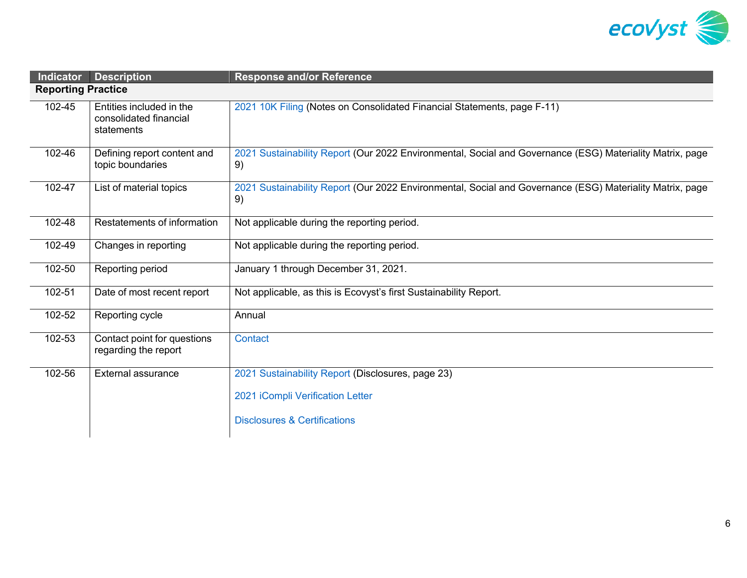

| Indicator                 | <b>Description</b>                                               | <b>Response and/or Reference</b>                                                                               |
|---------------------------|------------------------------------------------------------------|----------------------------------------------------------------------------------------------------------------|
| <b>Reporting Practice</b> |                                                                  |                                                                                                                |
| 102-45                    | Entities included in the<br>consolidated financial<br>statements | 2021 10K Filing (Notes on Consolidated Financial Statements, page F-11)                                        |
| 102-46                    | Defining report content and<br>topic boundaries                  | 2021 Sustainability Report (Our 2022 Environmental, Social and Governance (ESG) Materiality Matrix, page<br>9) |
| 102-47                    | List of material topics                                          | 2021 Sustainability Report (Our 2022 Environmental, Social and Governance (ESG) Materiality Matrix, page<br>9) |
| 102-48                    | Restatements of information                                      | Not applicable during the reporting period.                                                                    |
| 102-49                    | Changes in reporting                                             | Not applicable during the reporting period.                                                                    |
| 102-50                    | Reporting period                                                 | January 1 through December 31, 2021.                                                                           |
| 102-51                    | Date of most recent report                                       | Not applicable, as this is Ecovyst's first Sustainability Report.                                              |
| 102-52                    | Reporting cycle                                                  | Annual                                                                                                         |
| 102-53                    | Contact point for questions<br>regarding the report              | Contact                                                                                                        |
| 102-56                    | <b>External assurance</b>                                        | 2021 Sustainability Report (Disclosures, page 23)                                                              |
|                           |                                                                  | 2021 iCompli Verification Letter                                                                               |
|                           |                                                                  | <b>Disclosures &amp; Certifications</b>                                                                        |
|                           |                                                                  |                                                                                                                |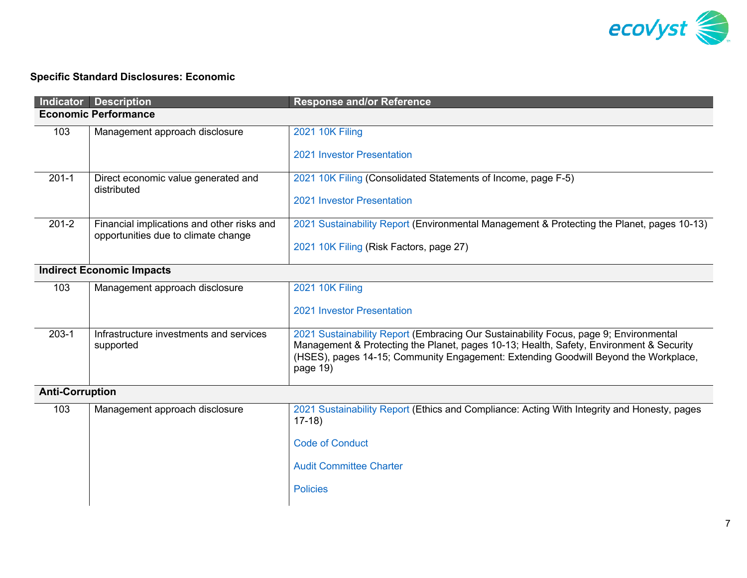

# **Specific Standard Disclosures: Economic**

|                        | <b>Indicator Description</b>                                                      | <b>Response and/or Reference</b>                                                                                                                                                                                                                                                    |
|------------------------|-----------------------------------------------------------------------------------|-------------------------------------------------------------------------------------------------------------------------------------------------------------------------------------------------------------------------------------------------------------------------------------|
|                        | <b>Economic Performance</b>                                                       |                                                                                                                                                                                                                                                                                     |
| 103                    | Management approach disclosure                                                    | 2021 10K Filing<br>2021 Investor Presentation                                                                                                                                                                                                                                       |
| $201 - 1$              | Direct economic value generated and<br>distributed                                | 2021 10K Filing (Consolidated Statements of Income, page F-5)<br>2021 Investor Presentation                                                                                                                                                                                         |
| $201 - 2$              | Financial implications and other risks and<br>opportunities due to climate change | 2021 Sustainability Report (Environmental Management & Protecting the Planet, pages 10-13)<br>2021 10K Filing (Risk Factors, page 27)                                                                                                                                               |
|                        | <b>Indirect Economic Impacts</b>                                                  |                                                                                                                                                                                                                                                                                     |
| 103                    | Management approach disclosure                                                    | 2021 10K Filing<br>2021 Investor Presentation                                                                                                                                                                                                                                       |
| $203 - 1$              | Infrastructure investments and services<br>supported                              | 2021 Sustainability Report (Embracing Our Sustainability Focus, page 9; Environmental<br>Management & Protecting the Planet, pages 10-13; Health, Safety, Environment & Security<br>(HSES), pages 14-15; Community Engagement: Extending Goodwill Beyond the Workplace,<br>page 19) |
| <b>Anti-Corruption</b> |                                                                                   |                                                                                                                                                                                                                                                                                     |
| 103                    | Management approach disclosure                                                    | 2021 Sustainability Report (Ethics and Compliance: Acting With Integrity and Honesty, pages<br>$17-18$<br><b>Code of Conduct</b><br><b>Audit Committee Charter</b><br><b>Policies</b>                                                                                               |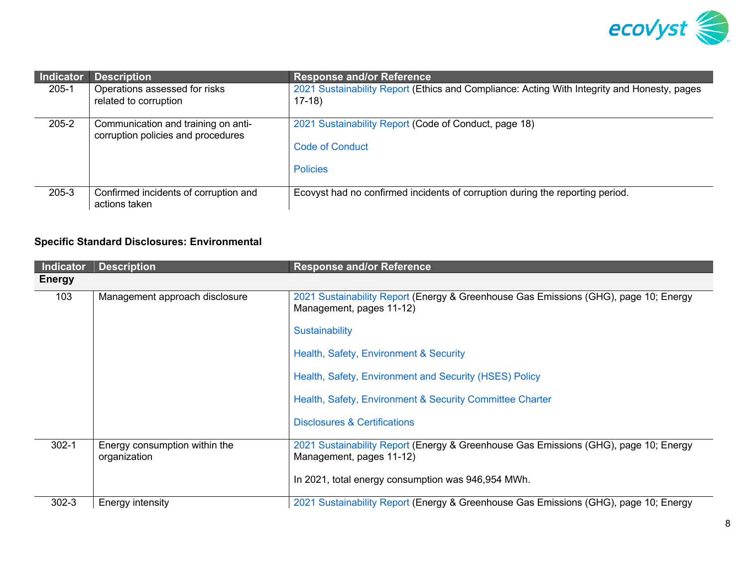

| Indicator | <b>Description</b>                                                        | <b>Response and/or Reference</b>                                                                       |
|-----------|---------------------------------------------------------------------------|--------------------------------------------------------------------------------------------------------|
| $205 - 1$ | Operations assessed for risks<br>related to corruption                    | 2021 Sustainability Report (Ethics and Compliance: Acting With Integrity and Honesty, pages<br>$17-18$ |
| $205 - 2$ | Communication and training on anti-<br>corruption policies and procedures | 2021 Sustainability Report (Code of Conduct, page 18)<br><b>Code of Conduct</b><br><b>Policies</b>     |
| $205 - 3$ | Confirmed incidents of corruption and<br>actions taken                    | Ecovyst had no confirmed incidents of corruption during the reporting period.                          |

# **Specific Standard Disclosures: Environmental**

| Indicator     | <b>Description</b>                            | <b>Response and/or Reference</b>                                                                                 |
|---------------|-----------------------------------------------|------------------------------------------------------------------------------------------------------------------|
| <b>Energy</b> |                                               |                                                                                                                  |
| 103           | Management approach disclosure                | 2021 Sustainability Report (Energy & Greenhouse Gas Emissions (GHG), page 10; Energy<br>Management, pages 11-12) |
|               |                                               | Sustainability                                                                                                   |
|               |                                               | Health, Safety, Environment & Security                                                                           |
|               |                                               | Health, Safety, Environment and Security (HSES) Policy                                                           |
|               |                                               | Health, Safety, Environment & Security Committee Charter                                                         |
|               |                                               | <b>Disclosures &amp; Certifications</b>                                                                          |
| $302 - 1$     | Energy consumption within the<br>organization | 2021 Sustainability Report (Energy & Greenhouse Gas Emissions (GHG), page 10; Energy<br>Management, pages 11-12) |
|               |                                               | In 2021, total energy consumption was 946,954 MWh.                                                               |
| $302 - 3$     | Energy intensity                              | 2021 Sustainability Report (Energy & Greenhouse Gas Emissions (GHG), page 10; Energy                             |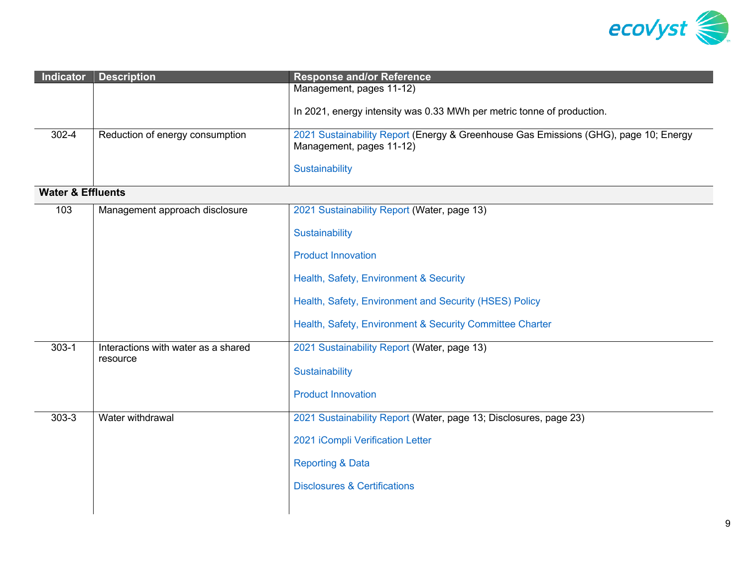

| <b>Indicator</b>             | <b>Description</b>                  | <b>Response and/or Reference</b>                                                                                 |
|------------------------------|-------------------------------------|------------------------------------------------------------------------------------------------------------------|
|                              |                                     | Management, pages 11-12)                                                                                         |
|                              |                                     | In 2021, energy intensity was 0.33 MWh per metric tonne of production.                                           |
| $302 - 4$                    | Reduction of energy consumption     | 2021 Sustainability Report (Energy & Greenhouse Gas Emissions (GHG), page 10; Energy<br>Management, pages 11-12) |
|                              |                                     | Sustainability                                                                                                   |
| <b>Water &amp; Effluents</b> |                                     |                                                                                                                  |
| 103                          | Management approach disclosure      | 2021 Sustainability Report (Water, page 13)                                                                      |
|                              |                                     | Sustainability                                                                                                   |
|                              |                                     | <b>Product Innovation</b>                                                                                        |
|                              |                                     | Health, Safety, Environment & Security                                                                           |
|                              |                                     | Health, Safety, Environment and Security (HSES) Policy                                                           |
|                              |                                     | Health, Safety, Environment & Security Committee Charter                                                         |
| $303 - 1$                    | Interactions with water as a shared | 2021 Sustainability Report (Water, page 13)                                                                      |
|                              | resource                            | Sustainability                                                                                                   |
|                              |                                     | <b>Product Innovation</b>                                                                                        |
| $303 - 3$                    | Water withdrawal                    | 2021 Sustainability Report (Water, page 13; Disclosures, page 23)                                                |
|                              |                                     | 2021 iCompli Verification Letter                                                                                 |
|                              |                                     | <b>Reporting &amp; Data</b>                                                                                      |
|                              |                                     | <b>Disclosures &amp; Certifications</b>                                                                          |
|                              |                                     |                                                                                                                  |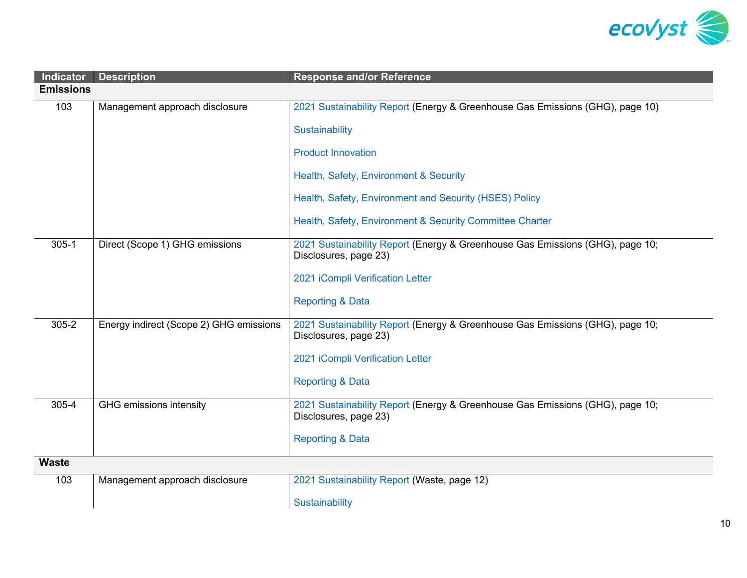

| <b>Indicator</b> | <b>Description</b>                      | <b>Response and/or Reference</b>                                                                       |
|------------------|-----------------------------------------|--------------------------------------------------------------------------------------------------------|
| <b>Emissions</b> |                                         |                                                                                                        |
| 103              | Management approach disclosure          | 2021 Sustainability Report (Energy & Greenhouse Gas Emissions (GHG), page 10)                          |
|                  |                                         | Sustainability                                                                                         |
|                  |                                         | <b>Product Innovation</b>                                                                              |
|                  |                                         | Health, Safety, Environment & Security                                                                 |
|                  |                                         | Health, Safety, Environment and Security (HSES) Policy                                                 |
|                  |                                         | Health, Safety, Environment & Security Committee Charter                                               |
| $305 - 1$        | Direct (Scope 1) GHG emissions          | 2021 Sustainability Report (Energy & Greenhouse Gas Emissions (GHG), page 10;<br>Disclosures, page 23) |
|                  |                                         | 2021 iCompli Verification Letter                                                                       |
|                  |                                         | <b>Reporting &amp; Data</b>                                                                            |
| $305 - 2$        | Energy indirect (Scope 2) GHG emissions | 2021 Sustainability Report (Energy & Greenhouse Gas Emissions (GHG), page 10;<br>Disclosures, page 23) |
|                  |                                         | 2021 iCompli Verification Letter                                                                       |
|                  |                                         | <b>Reporting &amp; Data</b>                                                                            |
| 305-4            | GHG emissions intensity                 | 2021 Sustainability Report (Energy & Greenhouse Gas Emissions (GHG), page 10;<br>Disclosures, page 23) |
|                  |                                         | <b>Reporting &amp; Data</b>                                                                            |
| <b>Waste</b>     |                                         |                                                                                                        |
| 103              | Management approach disclosure          | 2021 Sustainability Report (Waste, page 12)                                                            |
|                  |                                         | Sustainability                                                                                         |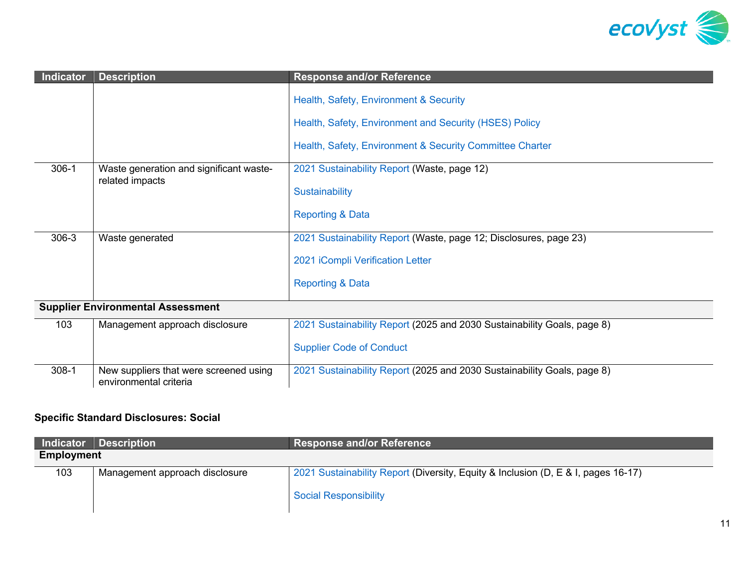

| <b>Indicator</b> | <b>Description</b>                                               | <b>Response and/or Reference</b>                                                                 |  |
|------------------|------------------------------------------------------------------|--------------------------------------------------------------------------------------------------|--|
|                  |                                                                  | Health, Safety, Environment & Security<br>Health, Safety, Environment and Security (HSES) Policy |  |
|                  |                                                                  | Health, Safety, Environment & Security Committee Charter                                         |  |
| $306-1$          | Waste generation and significant waste-                          | 2021 Sustainability Report (Waste, page 12)                                                      |  |
|                  | related impacts                                                  | Sustainability                                                                                   |  |
|                  |                                                                  | <b>Reporting &amp; Data</b>                                                                      |  |
| 306-3            | Waste generated                                                  | 2021 Sustainability Report (Waste, page 12; Disclosures, page 23)                                |  |
|                  |                                                                  | 2021 iCompli Verification Letter                                                                 |  |
|                  |                                                                  | <b>Reporting &amp; Data</b>                                                                      |  |
|                  | <b>Supplier Environmental Assessment</b>                         |                                                                                                  |  |
| 103              | Management approach disclosure                                   | 2021 Sustainability Report (2025 and 2030 Sustainability Goals, page 8)                          |  |
|                  |                                                                  | <b>Supplier Code of Conduct</b>                                                                  |  |
| $308-1$          | New suppliers that were screened using<br>environmental criteria | 2021 Sustainability Report (2025 and 2030 Sustainability Goals, page 8)                          |  |

# **Specific Standard Disclosures: Social**

|                   | Indicator Description          | <b>Response and/or Reference</b>                                                                                  |
|-------------------|--------------------------------|-------------------------------------------------------------------------------------------------------------------|
| <b>Employment</b> |                                |                                                                                                                   |
| 103               | Management approach disclosure | 2021 Sustainability Report (Diversity, Equity & Inclusion (D, E & I, pages 16-17)<br><b>Social Responsibility</b> |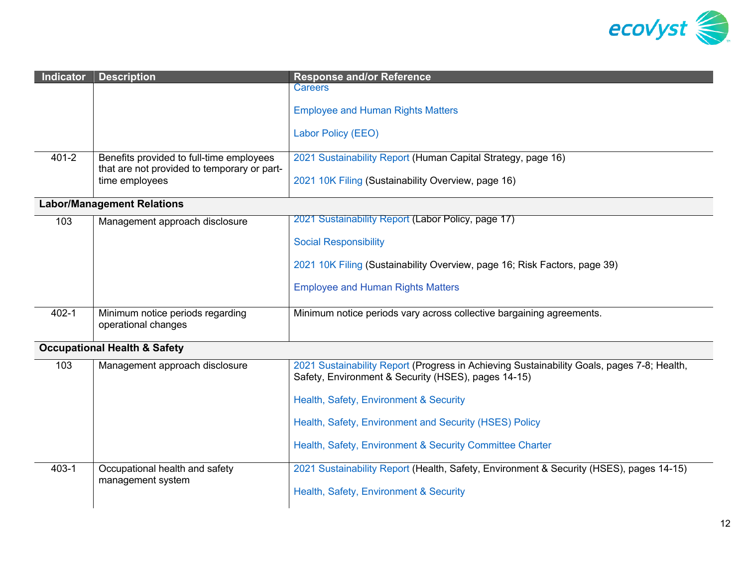

| <b>Indicator</b>                        | <b>Description</b>                                                                                        | <b>Response and/or Reference</b>                                                                                                                  |
|-----------------------------------------|-----------------------------------------------------------------------------------------------------------|---------------------------------------------------------------------------------------------------------------------------------------------------|
|                                         |                                                                                                           | <b>Careers</b>                                                                                                                                    |
|                                         |                                                                                                           | <b>Employee and Human Rights Matters</b>                                                                                                          |
|                                         |                                                                                                           | Labor Policy (EEO)                                                                                                                                |
| $401 - 2$                               | Benefits provided to full-time employees<br>that are not provided to temporary or part-<br>time employees | 2021 Sustainability Report (Human Capital Strategy, page 16)                                                                                      |
|                                         |                                                                                                           | 2021 10K Filing (Sustainability Overview, page 16)                                                                                                |
| <b>Labor/Management Relations</b>       |                                                                                                           |                                                                                                                                                   |
| 103                                     | Management approach disclosure                                                                            | 2021 Sustainability Report (Labor Policy, page 17)                                                                                                |
|                                         |                                                                                                           | <b>Social Responsibility</b>                                                                                                                      |
|                                         |                                                                                                           | 2021 10K Filing (Sustainability Overview, page 16; Risk Factors, page 39)                                                                         |
|                                         |                                                                                                           | <b>Employee and Human Rights Matters</b>                                                                                                          |
| $402 - 1$                               | Minimum notice periods regarding<br>operational changes                                                   | Minimum notice periods vary across collective bargaining agreements.                                                                              |
| <b>Occupational Health &amp; Safety</b> |                                                                                                           |                                                                                                                                                   |
| 103                                     | Management approach disclosure                                                                            | 2021 Sustainability Report (Progress in Achieving Sustainability Goals, pages 7-8; Health,<br>Safety, Environment & Security (HSES), pages 14-15) |
|                                         |                                                                                                           | Health, Safety, Environment & Security                                                                                                            |
|                                         |                                                                                                           | Health, Safety, Environment and Security (HSES) Policy                                                                                            |
|                                         |                                                                                                           | Health, Safety, Environment & Security Committee Charter                                                                                          |
| $403 - 1$                               | Occupational health and safety                                                                            | 2021 Sustainability Report (Health, Safety, Environment & Security (HSES), pages 14-15)                                                           |

[Health, Safety, Environment & Security](https://www.ecovyst.com/hses/) 

management system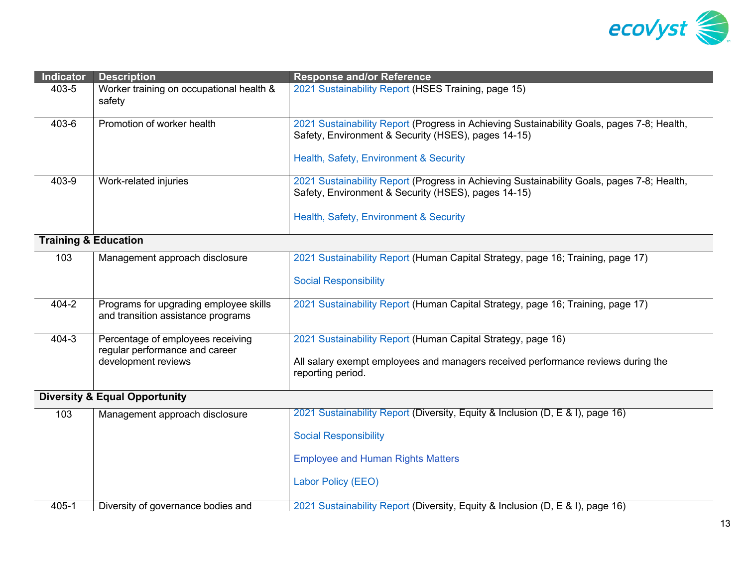

| <b>Indicator</b>                         | <b>Description</b>                                                           | <b>Response and/or Reference</b>                                                                                                                  |
|------------------------------------------|------------------------------------------------------------------------------|---------------------------------------------------------------------------------------------------------------------------------------------------|
| 403-5                                    | Worker training on occupational health &<br>safety                           | 2021 Sustainability Report (HSES Training, page 15)                                                                                               |
| 403-6                                    | Promotion of worker health                                                   | 2021 Sustainability Report (Progress in Achieving Sustainability Goals, pages 7-8; Health,<br>Safety, Environment & Security (HSES), pages 14-15) |
|                                          |                                                                              | Health, Safety, Environment & Security                                                                                                            |
| 403-9                                    | Work-related injuries                                                        | 2021 Sustainability Report (Progress in Achieving Sustainability Goals, pages 7-8; Health,<br>Safety, Environment & Security (HSES), pages 14-15) |
|                                          |                                                                              | Health, Safety, Environment & Security                                                                                                            |
| <b>Training &amp; Education</b>          |                                                                              |                                                                                                                                                   |
| 103                                      | Management approach disclosure                                               | 2021 Sustainability Report (Human Capital Strategy, page 16; Training, page 17)                                                                   |
|                                          |                                                                              | <b>Social Responsibility</b>                                                                                                                      |
| 404-2                                    | Programs for upgrading employee skills<br>and transition assistance programs | 2021 Sustainability Report (Human Capital Strategy, page 16; Training, page 17)                                                                   |
| $404 - 3$                                | Percentage of employees receiving<br>regular performance and career          | 2021 Sustainability Report (Human Capital Strategy, page 16)                                                                                      |
|                                          | development reviews                                                          | All salary exempt employees and managers received performance reviews during the<br>reporting period.                                             |
| <b>Diversity &amp; Equal Opportunity</b> |                                                                              |                                                                                                                                                   |
| 103                                      | Management approach disclosure                                               | 2021 Sustainability Report (Diversity, Equity & Inclusion (D, E & I), page 16)                                                                    |
|                                          |                                                                              | <b>Social Responsibility</b>                                                                                                                      |
|                                          |                                                                              | <b>Employee and Human Rights Matters</b>                                                                                                          |
|                                          |                                                                              | Labor Policy (EEO)                                                                                                                                |
| $405 - 1$                                | Diversity of governance bodies and                                           | 2021 Sustainability Report (Diversity, Equity & Inclusion (D, E & I), page 16)                                                                    |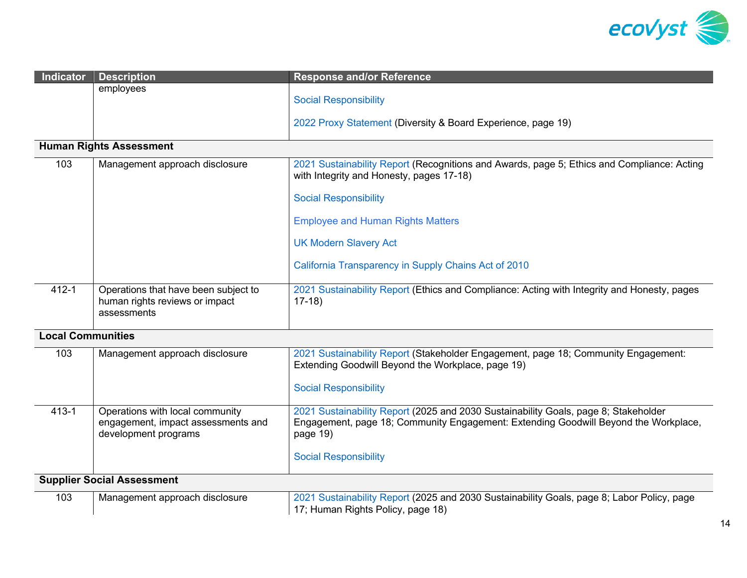

| Indicator                         | <b>Description</b>                                                                            | <b>Response and/or Reference</b>                                                                                                                                                                                       |  |
|-----------------------------------|-----------------------------------------------------------------------------------------------|------------------------------------------------------------------------------------------------------------------------------------------------------------------------------------------------------------------------|--|
|                                   | employees                                                                                     | <b>Social Responsibility</b>                                                                                                                                                                                           |  |
|                                   |                                                                                               | 2022 Proxy Statement (Diversity & Board Experience, page 19)                                                                                                                                                           |  |
|                                   | <b>Human Rights Assessment</b>                                                                |                                                                                                                                                                                                                        |  |
| 103                               | Management approach disclosure                                                                | 2021 Sustainability Report (Recognitions and Awards, page 5; Ethics and Compliance: Acting<br>with Integrity and Honesty, pages 17-18)                                                                                 |  |
|                                   |                                                                                               | <b>Social Responsibility</b>                                                                                                                                                                                           |  |
|                                   |                                                                                               | <b>Employee and Human Rights Matters</b>                                                                                                                                                                               |  |
|                                   |                                                                                               | <b>UK Modern Slavery Act</b>                                                                                                                                                                                           |  |
|                                   |                                                                                               | California Transparency in Supply Chains Act of 2010                                                                                                                                                                   |  |
| $412 - 1$                         | Operations that have been subject to<br>human rights reviews or impact<br>assessments         | 2021 Sustainability Report (Ethics and Compliance: Acting with Integrity and Honesty, pages<br>$17-18$                                                                                                                 |  |
| <b>Local Communities</b>          |                                                                                               |                                                                                                                                                                                                                        |  |
| 103                               | Management approach disclosure                                                                | 2021 Sustainability Report (Stakeholder Engagement, page 18; Community Engagement:<br>Extending Goodwill Beyond the Workplace, page 19)<br><b>Social Responsibility</b>                                                |  |
| $413 - 1$                         | Operations with local community<br>engagement, impact assessments and<br>development programs | 2021 Sustainability Report (2025 and 2030 Sustainability Goals, page 8; Stakeholder<br>Engagement, page 18; Community Engagement: Extending Goodwill Beyond the Workplace,<br>page 19)<br><b>Social Responsibility</b> |  |
|                                   |                                                                                               |                                                                                                                                                                                                                        |  |
| <b>Supplier Social Assessment</b> |                                                                                               |                                                                                                                                                                                                                        |  |
| 103                               | Management approach disclosure                                                                | 2021 Sustainability Report (2025 and 2030 Sustainability Goals, page 8; Labor Policy, page<br>17; Human Rights Policy, page 18)                                                                                        |  |